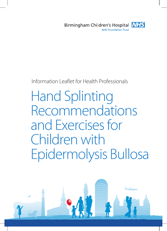

# Information Leaflet for Health Professionals

# **Hand Splinting** Recommendations and Exercises for Children with Epidermolysis Bullosa

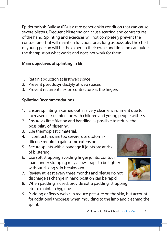Epidermolysis Bullosa (EB) is a rare genetic skin condition that can cause severe blisters. Frequent blistering can cause scarring and contractures of the hand. Splinting and exercises will not completely prevent the contractures but will maintain function for as long as possible. The child or young person will be the expert in their own condition and can guide the therapist on what works and does not work for them.

#### **Main objectives of splinting in EB;**

- 1. Retain abduction at first web space
- 2. Prevent pseudosyndactyly at web spaces
- 3. Prevent recurrent flexion contracture at the fingers

#### **Splinting Recommendations**

- 1. Ensure splinting is carried out in a very clean environment due to increased risk of infection with children and young people with EB
- 2. Ensure as little friction and handling as possible to reduce the possibility of blistering.
- 3. Use thermoplastic material.
- 4. If contractures are too severe, use otoform k silicone mould to gain some extension.
- 5. Secure splints with a bandage if joints are at risk of blistering.
- 6. Use soft strapping avoiding finger joints. Contour foam under strapping may allow straps to be tighter without risking skin breakdown.
- 7. Review at least every three months and please do not discharge as change in hand position can be rapid.
- 8. When padding is used, provide extra padding, strapping etc. to maintain hygiene
- 9. Padding or fleecy web can reduce pressure on the skin, but account for additional thickness when moulding to the limb and cleaning the splint.

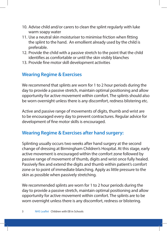- 10. Advise child and/or carers to clean the splint regularly with luke warm soapy water
- 11. Use a neutral skin moisturiser to minimise friction when fitting the splint to the hand. An emollient already used by the child is preferable.
- 12. Provide the child with a passive stretch to the point that the child identifies as comfortable or until the skin visibly blanches
- 13. Provide fine motor skill development activities

### **Wearing Regime & Exercises**

We recommend that splints are worn for 1 to 2 hour periods during the day to provide a passive stretch, maintain optimal positioning and allow opportunity for active movement within comfort. The splints should also be worn overnight unless there is any discomfort, redness blistering etc.

Active and passive range of movements of digits, thumb and wrist are to be encouraged every day to prevent contractures. Regular advice for development of fine motor skills is encouraged.

# **Wearing Regime & Exercises after hand surgery:**

Splinting usually occurs two weeks after hand surgery at the second change of dressing at Birmingham Children's Hospital. At this stage, early active movement is encouraged within the comfort zone followed by passive range of movement of thumb, digits and wrist once fully healed. Passively flex and extend the digits and thumb within patient's comfort zone or to point of immediate blanching. Apply as little pressure to the skin as possible when passively stretching.

We recommended splints are worn for 1 to 2 hour periods during the day to provide a passive stretch, maintain optimal positioning and allow opportunity for active movement within comfort. The splints are to be worn overnight unless there is any discomfort, redness or blistering.